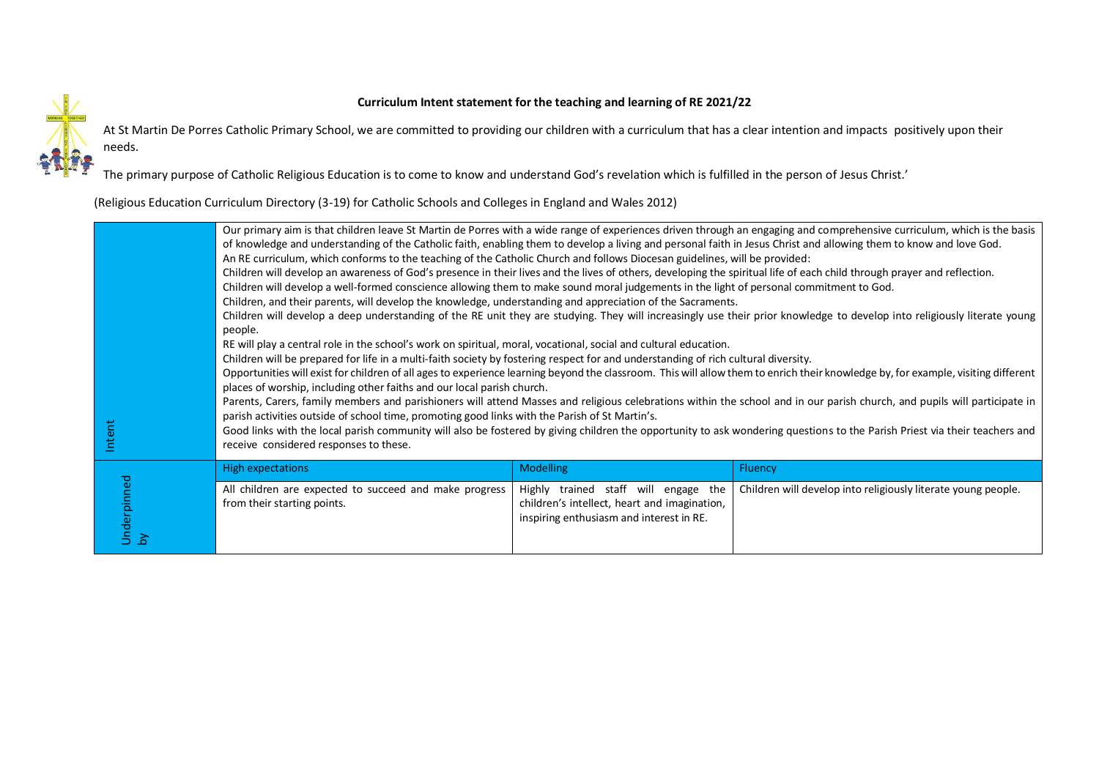## **Curriculum Intent statement for the teaching and learning of RE 2021/22**



At St Martin De Porres Catholic Primary School, we are committed to providing our children with a curriculum that has a clear intention and impacts positively upon their needs.

The primary purpose of Catholic Religious Education is to come to know and understand God's revelation which is fulfilled in the person of Jesus Christ.'

(Religious Education Curriculum Directory (3-19) for Catholic Schools and Colleges in England and Wales 2012)

|                   | Our primary aim is that children leave St Martin de Porres with a wide range of experiences driven through an engaging and comprehensive curriculum, which is the basis<br>of knowledge and understanding of the Catholic faith, enabling them to develop a living and personal faith in Jesus Christ and allowing them to know and love God.<br>An RE curriculum, which conforms to the teaching of the Catholic Church and follows Diocesan guidelines, will be provided:<br>Children will develop an awareness of God's presence in their lives and the lives of others, developing the spiritual life of each child through prayer and reflection.<br>Children will develop a well-formed conscience allowing them to make sound moral judgements in the light of personal commitment to God.<br>Children, and their parents, will develop the knowledge, understanding and appreciation of the Sacraments.<br>Children will develop a deep understanding of the RE unit they are studying. They will increasingly use their prior knowledge to develop into religiously literate young<br>people.<br>RE will play a central role in the school's work on spiritual, moral, vocational, social and cultural education. |                                                                                                                                  |                                                               |
|-------------------|----------------------------------------------------------------------------------------------------------------------------------------------------------------------------------------------------------------------------------------------------------------------------------------------------------------------------------------------------------------------------------------------------------------------------------------------------------------------------------------------------------------------------------------------------------------------------------------------------------------------------------------------------------------------------------------------------------------------------------------------------------------------------------------------------------------------------------------------------------------------------------------------------------------------------------------------------------------------------------------------------------------------------------------------------------------------------------------------------------------------------------------------------------------------------------------------------------------------------|----------------------------------------------------------------------------------------------------------------------------------|---------------------------------------------------------------|
| Intent            | Children will be prepared for life in a multi-faith society by fostering respect for and understanding of rich cultural diversity.<br>Opportunities will exist for children of all ages to experience learning beyond the classroom. This will allow them to enrich their knowledge by, for example, visiting different<br>places of worship, including other faiths and our local parish church.<br>Parents, Carers, family members and parishioners will attend Masses and religious celebrations within the school and in our parish church, and pupils will participate in<br>parish activities outside of school time, promoting good links with the Parish of St Martin's.<br>Good links with the local parish community will also be fostered by giving children the opportunity to ask wondering questions to the Parish Priest via their teachers and<br>receive considered responses to these.                                                                                                                                                                                                                                                                                                                   |                                                                                                                                  |                                                               |
|                   | <b>High expectations</b>                                                                                                                                                                                                                                                                                                                                                                                                                                                                                                                                                                                                                                                                                                                                                                                                                                                                                                                                                                                                                                                                                                                                                                                                   | <b>Modelling</b>                                                                                                                 | <b>Fluency</b>                                                |
| Underpinned<br>by | All children are expected to succeed and make progress<br>from their starting points.                                                                                                                                                                                                                                                                                                                                                                                                                                                                                                                                                                                                                                                                                                                                                                                                                                                                                                                                                                                                                                                                                                                                      | Highly trained staff will engage the<br>children's intellect, heart and imagination,<br>inspiring enthusiasm and interest in RE. | Children will develop into religiously literate young people. |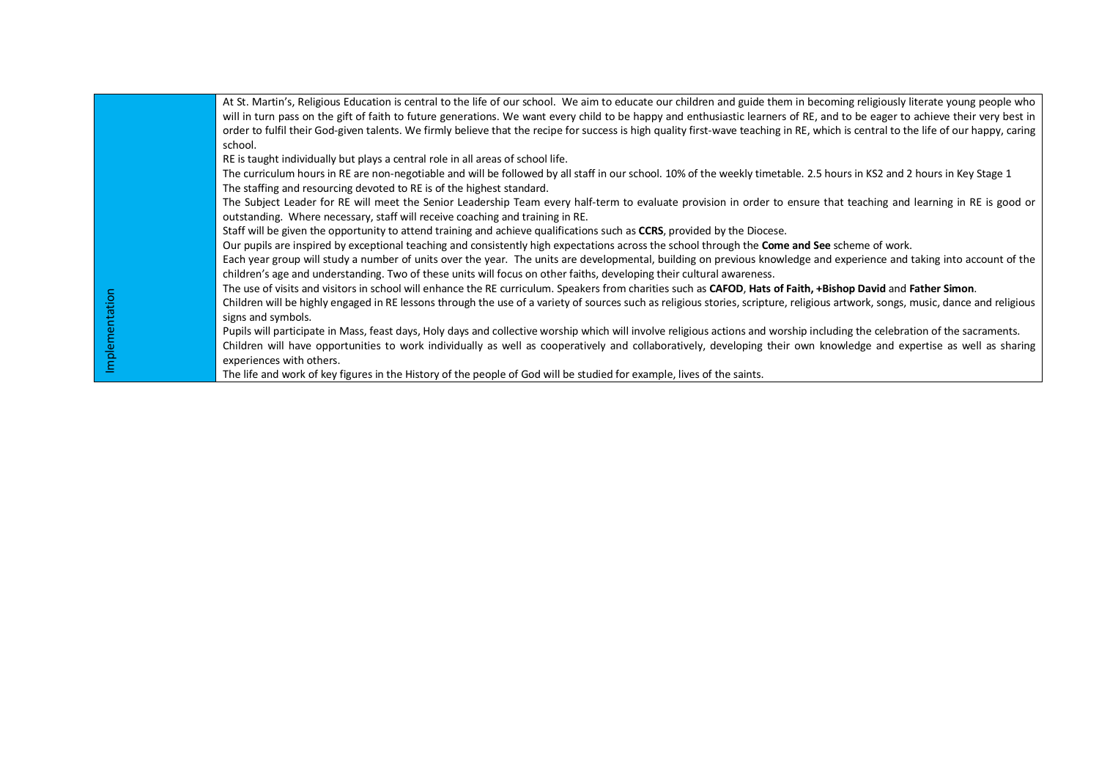|  | At St. Martin's, Religious Education is central to the life of our school. We aim to educate our children and guide them in becoming religiously literate young people who          |
|--|-------------------------------------------------------------------------------------------------------------------------------------------------------------------------------------|
|  | will in turn pass on the gift of faith to future generations. We want every child to be happy and enthusiastic learners of RE, and to be eager to achieve their very best in        |
|  | order to fulfil their God-given talents. We firmly believe that the recipe for success is high quality first-wave teaching in RE, which is central to the life of our happy, caring |
|  | school.                                                                                                                                                                             |
|  | RE is taught individually but plays a central role in all areas of school life.                                                                                                     |
|  | The curriculum hours in RE are non-negotiable and will be followed by all staff in our school. 10% of the weekly timetable. 2.5 hours in KS2 and 2 hours in Key Stage 1             |
|  | The staffing and resourcing devoted to RE is of the highest standard.                                                                                                               |
|  | The Subject Leader for RE will meet the Senior Leadership Team every half-term to evaluate provision in order to ensure that teaching and learning in RE is good or                 |
|  | outstanding. Where necessary, staff will receive coaching and training in RE.                                                                                                       |
|  | Staff will be given the opportunity to attend training and achieve qualifications such as CCRS, provided by the Diocese.                                                            |
|  | Our pupils are inspired by exceptional teaching and consistently high expectations across the school through the Come and See scheme of work.                                       |
|  | Each year group will study a number of units over the year. The units are developmental, building on previous knowledge and experience and taking into account of the               |
|  | children's age and understanding. Two of these units will focus on other faiths, developing their cultural awareness.                                                               |
|  | The use of visits and visitors in school will enhance the RE curriculum. Speakers from charities such as CAFOD, Hats of Faith, +Bishop David and Father Simon.                      |
|  | Children will be highly engaged in RE lessons through the use of a variety of sources such as religious stories, scripture, religious artwork, songs, music, dance and religious    |
|  | signs and symbols.                                                                                                                                                                  |
|  | Pupils will participate in Mass, feast days, Holy days and collective worship which will involve religious actions and worship including the celebration of the sacraments.         |
|  | Children will have opportunities to work individually as well as cooperatively and collaboratively, developing their own knowledge and expertise as well as sharing                 |
|  | experiences with others.                                                                                                                                                            |
|  | The life and work of key figures in the History of the people of God will be studied for example, lives of the saints.                                                              |